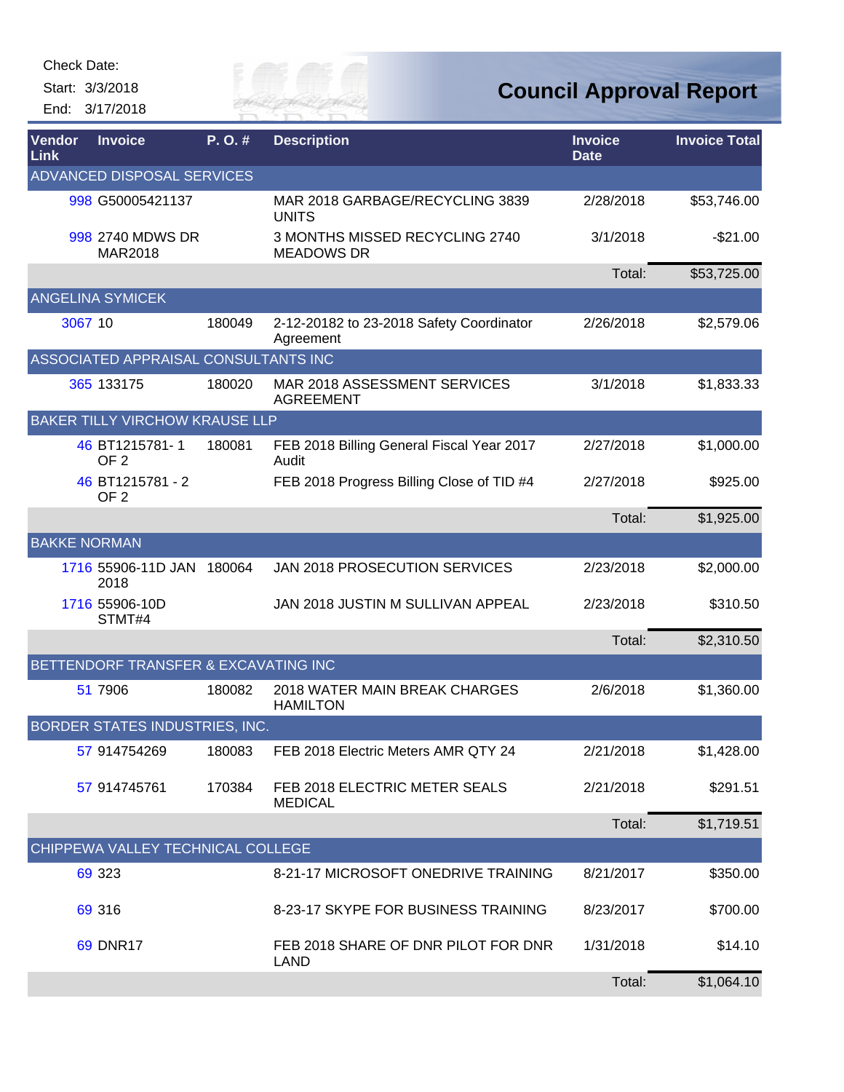Check Date:

Start: 3/3/2018 End: 3/17/2018



| Vendor<br>Link      | <b>Invoice</b>                        | P.O.#  | <b>Description</b>                                    | <b>Invoice</b><br><b>Date</b> | <b>Invoice Total</b> |
|---------------------|---------------------------------------|--------|-------------------------------------------------------|-------------------------------|----------------------|
|                     | ADVANCED DISPOSAL SERVICES            |        |                                                       |                               |                      |
|                     | 998 G50005421137                      |        | MAR 2018 GARBAGE/RECYCLING 3839<br><b>UNITS</b>       | 2/28/2018                     | \$53,746.00          |
|                     | 998 2740 MDWS DR<br>MAR2018           |        | 3 MONTHS MISSED RECYCLING 2740<br><b>MEADOWS DR</b>   | 3/1/2018                      | $-$21.00$            |
|                     |                                       |        |                                                       | Total:                        | \$53,725.00          |
|                     | <b>ANGELINA SYMICEK</b>               |        |                                                       |                               |                      |
|                     | 3067 10                               | 180049 | 2-12-20182 to 23-2018 Safety Coordinator<br>Agreement | 2/26/2018                     | \$2,579.06           |
|                     | ASSOCIATED APPRAISAL CONSULTANTS INC  |        |                                                       |                               |                      |
|                     | 365 133175                            | 180020 | MAR 2018 ASSESSMENT SERVICES<br><b>AGREEMENT</b>      | 3/1/2018                      | \$1,833.33           |
|                     | <b>BAKER TILLY VIRCHOW KRAUSE LLP</b> |        |                                                       |                               |                      |
|                     | 46 BT1215781-1<br>OF <sub>2</sub>     | 180081 | FEB 2018 Billing General Fiscal Year 2017<br>Audit    | 2/27/2018                     | \$1,000.00           |
|                     | 46 BT1215781 - 2<br>OF <sub>2</sub>   |        | FEB 2018 Progress Billing Close of TID #4             | 2/27/2018                     | \$925.00             |
|                     |                                       |        |                                                       | Total:                        | \$1,925.00           |
| <b>BAKKE NORMAN</b> |                                       |        |                                                       |                               |                      |
|                     | 1716 55906-11D JAN 180064<br>2018     |        | JAN 2018 PROSECUTION SERVICES                         | 2/23/2018                     | \$2,000.00           |
|                     | 1716 55906-10D<br>STMT#4              |        | JAN 2018 JUSTIN M SULLIVAN APPEAL                     | 2/23/2018                     | \$310.50             |
|                     |                                       |        |                                                       | Total:                        | \$2,310.50           |
|                     | BETTENDORF TRANSFER & EXCAVATING INC  |        |                                                       |                               |                      |
|                     | 51 7906                               | 180082 | 2018 WATER MAIN BREAK CHARGES<br><b>HAMILTON</b>      | 2/6/2018                      | \$1,360.00           |
|                     | BORDER STATES INDUSTRIES, INC.        |        |                                                       |                               |                      |
|                     | 57 914754269                          | 180083 | FEB 2018 Electric Meters AMR QTY 24                   | 2/21/2018                     | \$1,428.00           |
|                     | 57 914745761                          | 170384 | FEB 2018 ELECTRIC METER SEALS<br><b>MEDICAL</b>       | 2/21/2018                     | \$291.51             |
|                     |                                       |        |                                                       | Total:                        | \$1,719.51           |
|                     | CHIPPEWA VALLEY TECHNICAL COLLEGE     |        |                                                       |                               |                      |
|                     | 69 323                                |        | 8-21-17 MICROSOFT ONEDRIVE TRAINING                   | 8/21/2017                     | \$350.00             |
|                     | 69 316                                |        | 8-23-17 SKYPE FOR BUSINESS TRAINING                   | 8/23/2017                     | \$700.00             |
|                     | <b>69 DNR17</b>                       |        | FEB 2018 SHARE OF DNR PILOT FOR DNR<br><b>LAND</b>    | 1/31/2018                     | \$14.10              |
|                     |                                       |        |                                                       | Total:                        | \$1,064.10           |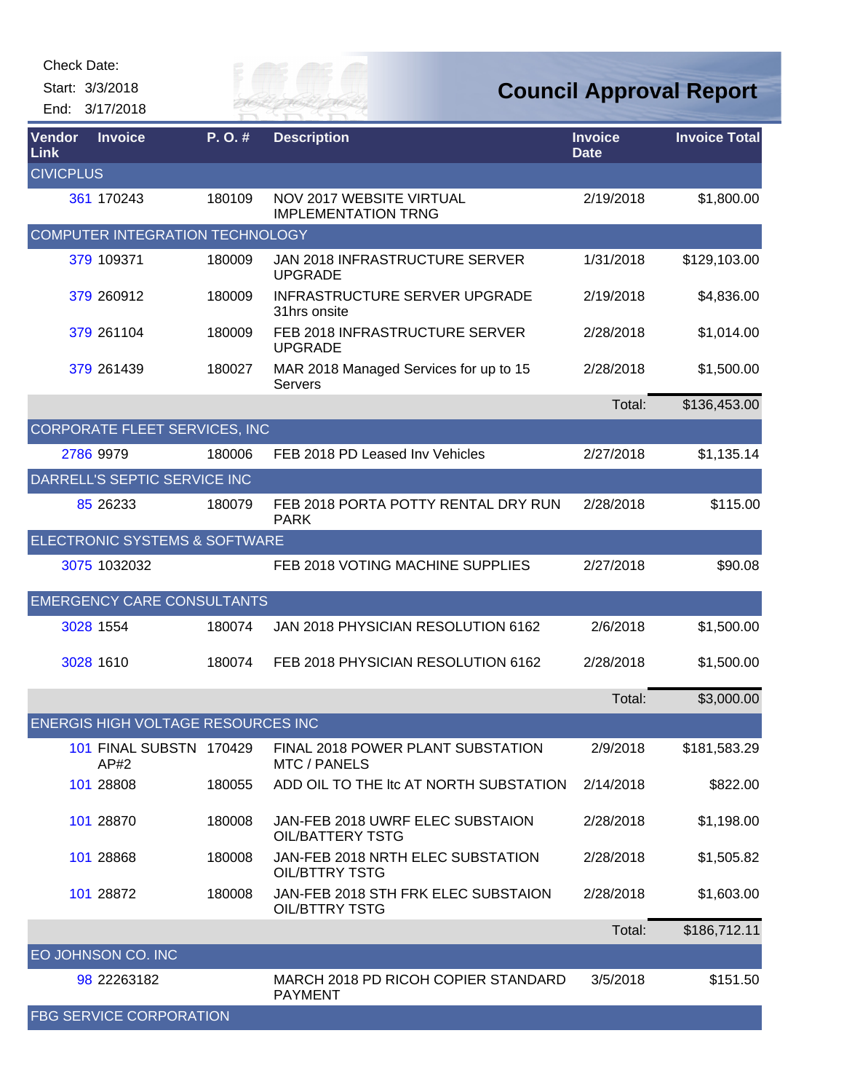| <b>Check Date:</b> |                                           |        |                                                               |                               |                                |
|--------------------|-------------------------------------------|--------|---------------------------------------------------------------|-------------------------------|--------------------------------|
|                    | Start: 3/3/2018                           |        |                                                               |                               | <b>Council Approval Report</b> |
|                    | End: 3/17/2018                            |        |                                                               |                               |                                |
| Vendor<br>Link     | <b>Invoice</b>                            | P.O.#  | <b>Description</b>                                            | <b>Invoice</b><br><b>Date</b> | <b>Invoice Total</b>           |
| <b>CIVICPLUS</b>   |                                           |        |                                                               |                               |                                |
|                    | 361 170243                                | 180109 | <b>NOV 2017 WEBSITE VIRTUAL</b><br><b>IMPLEMENTATION TRNG</b> | 2/19/2018                     | \$1,800.00                     |
|                    | <b>COMPUTER INTEGRATION TECHNOLOGY</b>    |        |                                                               |                               |                                |
|                    | 379 109371                                | 180009 | <b>JAN 2018 INFRASTRUCTURE SERVER</b><br><b>UPGRADE</b>       | 1/31/2018                     | \$129,103.00                   |
|                    | 379 260912                                | 180009 | <b>INFRASTRUCTURE SERVER UPGRADE</b><br>31hrs onsite          | 2/19/2018                     | \$4,836.00                     |
|                    | 379 261104                                | 180009 | FEB 2018 INFRASTRUCTURE SERVER<br><b>UPGRADE</b>              | 2/28/2018                     | \$1,014.00                     |
|                    | 379 261439                                | 180027 | MAR 2018 Managed Services for up to 15<br>Servers             | 2/28/2018                     | \$1,500.00                     |
|                    |                                           |        |                                                               | Total:                        | \$136,453.00                   |
|                    | CORPORATE FLEET SERVICES, INC             |        |                                                               |                               |                                |
|                    | 2786 9979                                 | 180006 | FEB 2018 PD Leased Inv Vehicles                               | 2/27/2018                     | \$1,135.14                     |
|                    | DARRELL'S SEPTIC SERVICE INC              |        |                                                               |                               |                                |
|                    | 85 26 233                                 | 180079 | FEB 2018 PORTA POTTY RENTAL DRY RUN<br><b>PARK</b>            | 2/28/2018                     | \$115.00                       |
|                    | ELECTRONIC SYSTEMS & SOFTWARE             |        |                                                               |                               |                                |
|                    | 3075 1032032                              |        | FEB 2018 VOTING MACHINE SUPPLIES                              | 2/27/2018                     | \$90.08                        |
|                    | <b>EMERGENCY CARE CONSULTANTS</b>         |        |                                                               |                               |                                |
|                    | 3028 1554                                 | 180074 | JAN 2018 PHYSICIAN RESOLUTION 6162                            | 2/6/2018                      | \$1,500.00                     |
|                    | 3028 1610                                 | 180074 | FEB 2018 PHYSICIAN RESOLUTION 6162                            | 2/28/2018                     | \$1,500.00                     |
|                    |                                           |        |                                                               | Total:                        | \$3,000.00                     |
|                    | <b>ENERGIS HIGH VOLTAGE RESOURCES INC</b> |        |                                                               |                               |                                |
|                    | 101 FINAL SUBSTN 170429<br>AP#2           |        | FINAL 2018 POWER PLANT SUBSTATION<br><b>MTC / PANELS</b>      | 2/9/2018                      | \$181,583.29                   |
|                    | 101 28808                                 | 180055 | ADD OIL TO THE Itc AT NORTH SUBSTATION                        | 2/14/2018                     | \$822.00                       |
|                    | 101 28870                                 | 180008 | JAN-FEB 2018 UWRF ELEC SUBSTAION<br><b>OIL/BATTERY TSTG</b>   | 2/28/2018                     | \$1,198.00                     |
|                    | 101 28868                                 | 180008 | JAN-FEB 2018 NRTH ELEC SUBSTATION<br><b>OIL/BTTRY TSTG</b>    | 2/28/2018                     | \$1,505.82                     |
|                    | 101 28872                                 | 180008 | JAN-FEB 2018 STH FRK ELEC SUBSTAION<br><b>OIL/BTTRY TSTG</b>  | 2/28/2018                     | \$1,603.00                     |
|                    |                                           |        |                                                               | Total:                        | \$186,712.11                   |
|                    | EO JOHNSON CO. INC                        |        |                                                               |                               |                                |
|                    | 98 22263182                               |        | MARCH 2018 PD RICOH COPIER STANDARD<br><b>PAYMENT</b>         | 3/5/2018                      | \$151.50                       |
|                    | <b>FBG SERVICE CORPORATION</b>            |        |                                                               |                               |                                |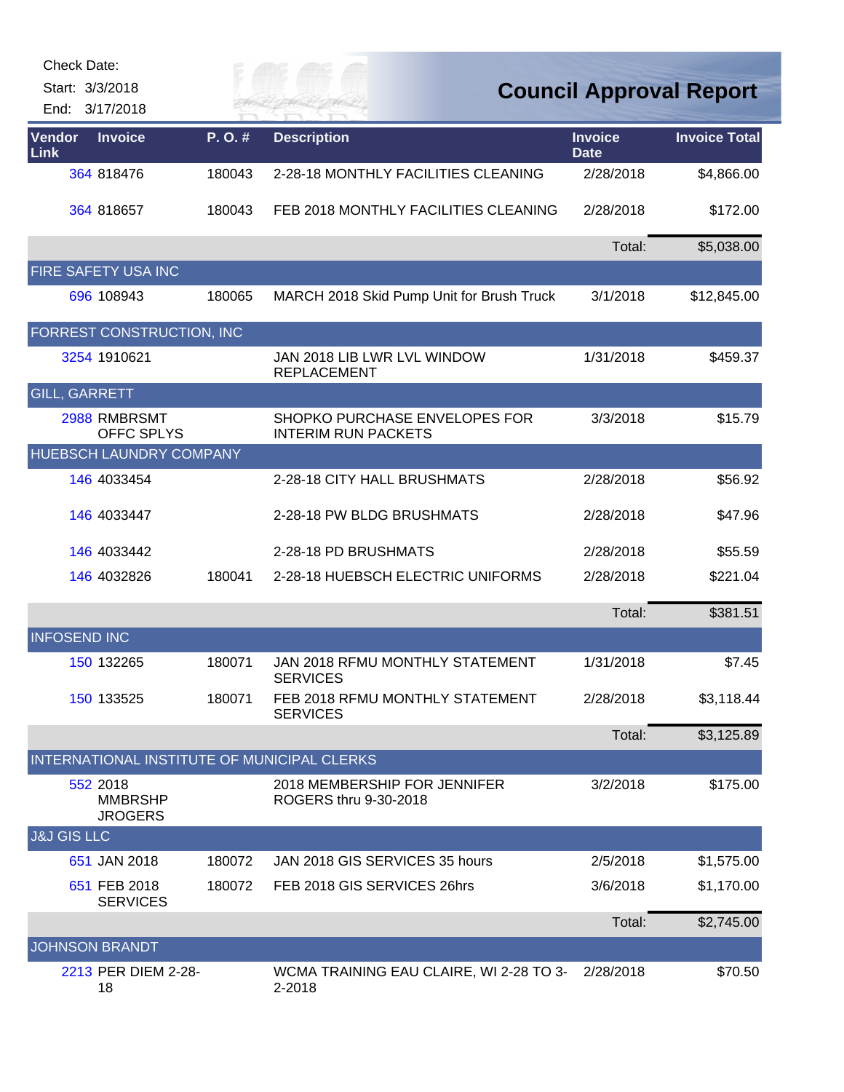| <b>Check Date:</b><br>Start: 3/3/2018<br>3/17/2018<br>End: |        | FR MAI                                                      |                               | <b>Council Approval Report</b> |
|------------------------------------------------------------|--------|-------------------------------------------------------------|-------------------------------|--------------------------------|
| Vendor<br><b>Invoice</b><br>Link                           | P.O.#  | <b>Description</b>                                          | <b>Invoice</b><br><b>Date</b> | <b>Invoice Total</b>           |
| 364 818476                                                 | 180043 | 2-28-18 MONTHLY FACILITIES CLEANING                         | 2/28/2018                     | \$4,866.00                     |
| 364 818657                                                 | 180043 | FEB 2018 MONTHLY FACILITIES CLEANING                        | 2/28/2018                     | \$172.00                       |
|                                                            |        |                                                             | Total:                        | \$5,038.00                     |
| FIRE SAFETY USA INC                                        |        |                                                             |                               |                                |
| 696 108943                                                 | 180065 | MARCH 2018 Skid Pump Unit for Brush Truck                   | 3/1/2018                      | \$12,845.00                    |
| FORREST CONSTRUCTION, INC                                  |        |                                                             |                               |                                |
| 3254 1910621                                               |        | JAN 2018 LIB LWR LVL WINDOW<br><b>REPLACEMENT</b>           | 1/31/2018                     | \$459.37                       |
| <b>GILL, GARRETT</b>                                       |        |                                                             |                               |                                |
| 2988 RMBRSMT<br>OFFC SPLYS                                 |        | SHOPKO PURCHASE ENVELOPES FOR<br><b>INTERIM RUN PACKETS</b> | 3/3/2018                      | \$15.79                        |
| HUEBSCH LAUNDRY COMPANY                                    |        |                                                             |                               |                                |
| 146 4033454                                                |        | 2-28-18 CITY HALL BRUSHMATS                                 | 2/28/2018                     | \$56.92                        |
| 146 4033447                                                |        | 2-28-18 PW BLDG BRUSHMATS                                   | 2/28/2018                     | \$47.96                        |
| 146 4033442                                                |        | 2-28-18 PD BRUSHMATS                                        | 2/28/2018                     | \$55.59                        |
| 146 4032826                                                | 180041 | 2-28-18 HUEBSCH ELECTRIC UNIFORMS                           | 2/28/2018                     | \$221.04                       |
|                                                            |        |                                                             | Total:                        | \$381.51                       |
| <b>INFOSEND INC</b>                                        |        |                                                             |                               |                                |
| 150 132265                                                 | 180071 | JAN 2018 RFMU MONTHLY STATEMENT<br>SERVICES                 | 1/31/2018                     | \$7.45                         |
| 150 133525                                                 | 180071 | FEB 2018 RFMU MONTHLY STATEMENT<br><b>SERVICES</b>          | 2/28/2018                     | \$3,118.44                     |
|                                                            |        |                                                             | Total:                        | \$3,125.89                     |
| INTERNATIONAL INSTITUTE OF MUNICIPAL CLERKS                |        |                                                             |                               |                                |
| 552 2018<br><b>MMBRSHP</b><br><b>JROGERS</b>               |        | 2018 MEMBERSHIP FOR JENNIFER<br>ROGERS thru 9-30-2018       | 3/2/2018                      | \$175.00                       |
| <b>J&amp;J GIS LLC</b>                                     |        |                                                             |                               |                                |
| 651 JAN 2018                                               | 180072 | JAN 2018 GIS SERVICES 35 hours                              | 2/5/2018                      | \$1,575.00                     |
| 651 FEB 2018<br><b>SERVICES</b>                            | 180072 | FEB 2018 GIS SERVICES 26hrs                                 | 3/6/2018                      | \$1,170.00                     |
|                                                            |        |                                                             | Total:                        | \$2,745.00                     |
| <b>JOHNSON BRANDT</b>                                      |        |                                                             |                               |                                |
| 2213 PER DIEM 2-28-<br>18                                  |        | WCMA TRAINING EAU CLAIRE, WI 2-28 TO 3-<br>2-2018           | 2/28/2018                     | \$70.50                        |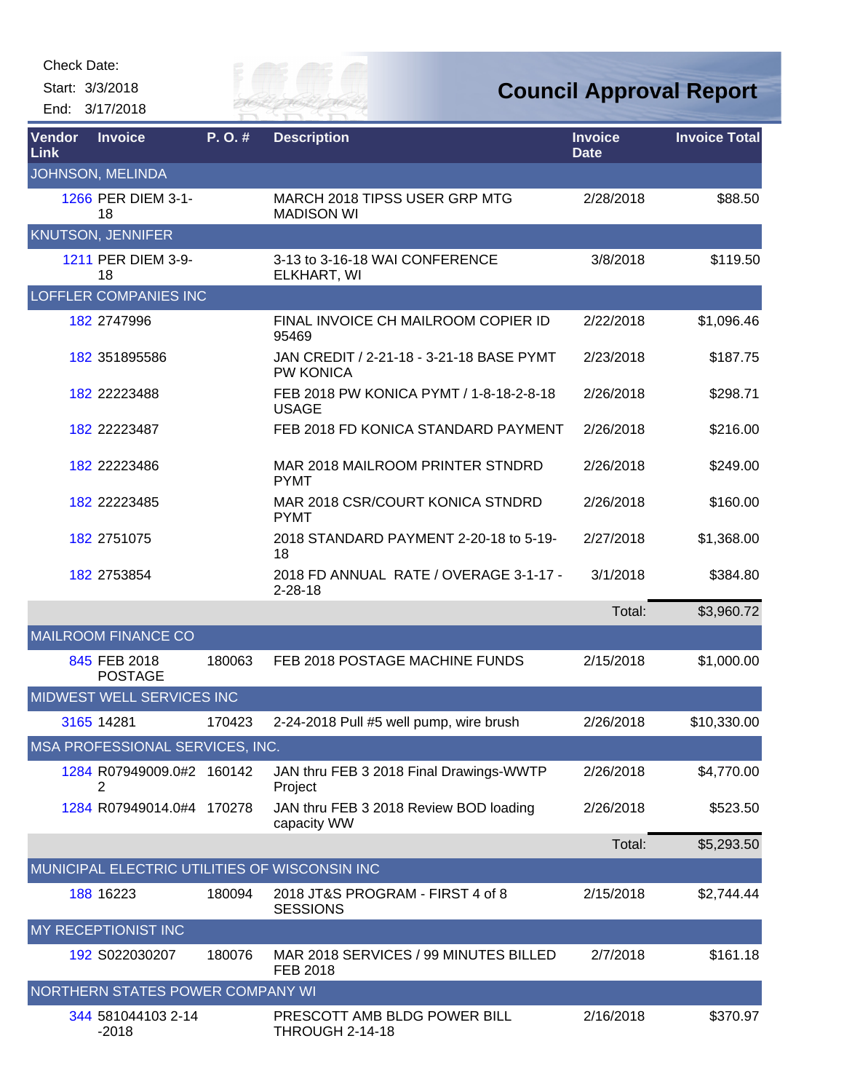Check Date:

Start: 3/3/2018 End: 3/17/2018



**Council Approval Report**

| Vendor<br><b>Link</b> | <b>Invoice</b>                   | P.O.#  | <b>Description</b>                                           | <b>Invoice</b><br><b>Date</b> | <b>Invoice Total</b> |
|-----------------------|----------------------------------|--------|--------------------------------------------------------------|-------------------------------|----------------------|
|                       | JOHNSON, MELINDA                 |        |                                                              |                               |                      |
|                       | 1266 PER DIEM 3-1-<br>18         |        | MARCH 2018 TIPSS USER GRP MTG<br><b>MADISON WI</b>           | 2/28/2018                     | \$88.50              |
|                       | <b>KNUTSON, JENNIFER</b>         |        |                                                              |                               |                      |
|                       | 1211 PER DIEM 3-9-<br>18         |        | 3-13 to 3-16-18 WAI CONFERENCE<br>ELKHART, WI                | 3/8/2018                      | \$119.50             |
|                       | <b>LOFFLER COMPANIES INC</b>     |        |                                                              |                               |                      |
|                       | 182 2747996                      |        | FINAL INVOICE CH MAILROOM COPIER ID<br>95469                 | 2/22/2018                     | \$1,096.46           |
|                       | 182 351895586                    |        | JAN CREDIT / 2-21-18 - 3-21-18 BASE PYMT<br><b>PW KONICA</b> | 2/23/2018                     | \$187.75             |
|                       | 182 22223488                     |        | FEB 2018 PW KONICA PYMT / 1-8-18-2-8-18<br><b>USAGE</b>      | 2/26/2018                     | \$298.71             |
|                       | 182 22223487                     |        | FEB 2018 FD KONICA STANDARD PAYMENT                          | 2/26/2018                     | \$216.00             |
|                       | 182 22223486                     |        | MAR 2018 MAILROOM PRINTER STNDRD<br><b>PYMT</b>              | 2/26/2018                     | \$249.00             |
|                       | 182 22223485                     |        | MAR 2018 CSR/COURT KONICA STNDRD<br><b>PYMT</b>              | 2/26/2018                     | \$160.00             |
|                       | 182 2751075                      |        | 2018 STANDARD PAYMENT 2-20-18 to 5-19-<br>18                 | 2/27/2018                     | \$1,368.00           |
|                       | 182 2753854                      |        | 2018 FD ANNUAL RATE / OVERAGE 3-1-17 -<br>$2 - 28 - 18$      | 3/1/2018                      | \$384.80             |
|                       |                                  |        |                                                              | Total:                        | \$3,960.72           |
|                       | <b>MAILROOM FINANCE CO</b>       |        |                                                              |                               |                      |
|                       | 845 FEB 2018<br><b>POSTAGE</b>   | 180063 | FEB 2018 POSTAGE MACHINE FUNDS                               | 2/15/2018                     | \$1,000.00           |
|                       | MIDWEST WELL SERVICES INC        |        |                                                              |                               |                      |
|                       | 3165 14281                       | 170423 | 2-24-2018 Pull #5 well pump, wire brush                      | 2/26/2018                     | \$10,330.00          |
|                       | MSA PROFESSIONAL SERVICES, INC.  |        |                                                              |                               |                      |
|                       | 1284 R07949009.0#2 160142<br>2   |        | JAN thru FEB 3 2018 Final Drawings-WWTP<br>Project           | 2/26/2018                     | \$4,770.00           |
|                       | 1284 R07949014.0#4 170278        |        | JAN thru FEB 3 2018 Review BOD loading<br>capacity WW        | 2/26/2018                     | \$523.50             |
|                       |                                  |        |                                                              | Total:                        | \$5,293.50           |
|                       |                                  |        | MUNICIPAL ELECTRIC UTILITIES OF WISCONSIN INC                |                               |                      |
|                       | 188 16223                        | 180094 | 2018 JT&S PROGRAM - FIRST 4 of 8<br><b>SESSIONS</b>          | 2/15/2018                     | \$2,744.44           |
|                       | MY RECEPTIONIST INC              |        |                                                              |                               |                      |
|                       | 192 S022030207                   | 180076 | MAR 2018 SERVICES / 99 MINUTES BILLED<br>FEB 2018            | 2/7/2018                      | \$161.18             |
|                       | NORTHERN STATES POWER COMPANY WI |        |                                                              |                               |                      |
|                       | 344 581044103 2-14<br>$-2018$    |        | PRESCOTT AMB BLDG POWER BILL<br><b>THROUGH 2-14-18</b>       | 2/16/2018                     | \$370.97             |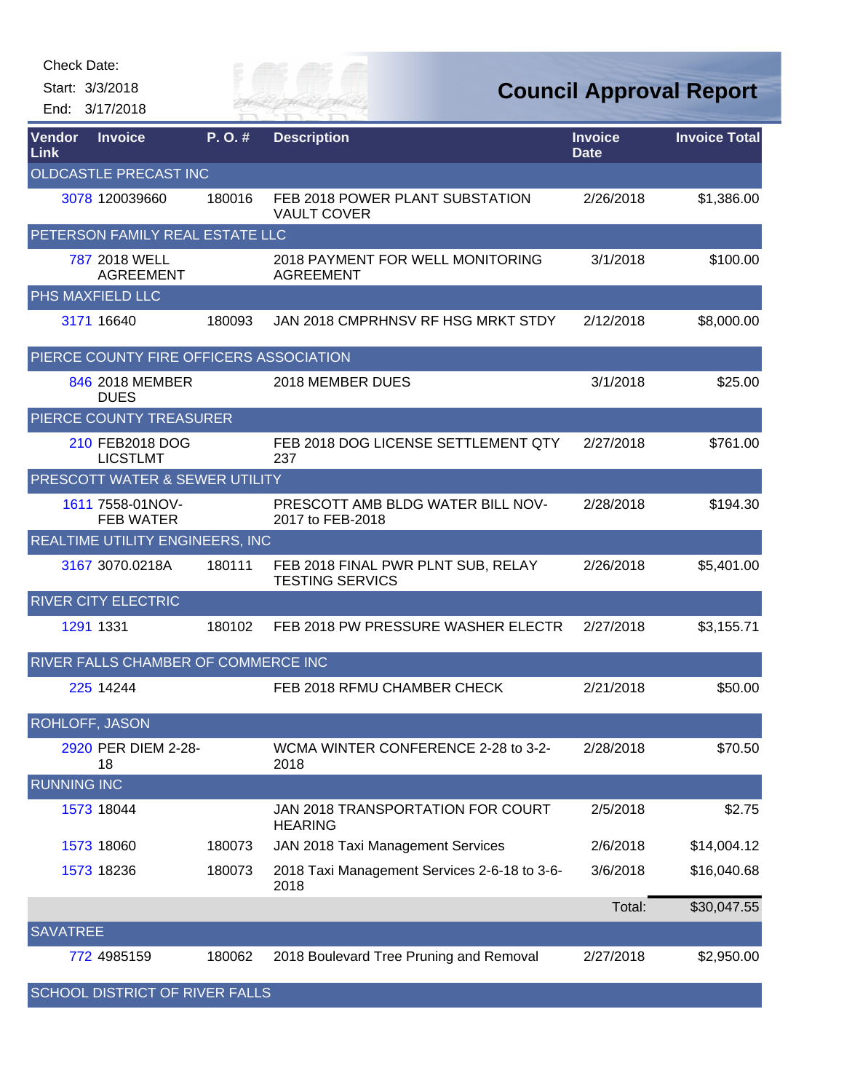| Check Date:           |                                         |         |                                                              |                               |                                |
|-----------------------|-----------------------------------------|---------|--------------------------------------------------------------|-------------------------------|--------------------------------|
|                       | Start: 3/3/2018<br>End: 3/17/2018       |         | FR HA                                                        |                               | <b>Council Approval Report</b> |
| Vendor<br>Link        | <b>Invoice</b>                          | P. O. # | <b>Description</b>                                           | <b>Invoice</b><br><b>Date</b> | <b>Invoice Total</b>           |
|                       | <b>OLDCASTLE PRECAST INC</b>            |         |                                                              |                               |                                |
|                       | 3078 120039660                          | 180016  | FEB 2018 POWER PLANT SUBSTATION<br><b>VAULT COVER</b>        | 2/26/2018                     | \$1,386.00                     |
|                       | PETERSON FAMILY REAL ESTATE LLC         |         |                                                              |                               |                                |
|                       | 787 2018 WELL<br><b>AGREEMENT</b>       |         | 2018 PAYMENT FOR WELL MONITORING<br><b>AGREEMENT</b>         | 3/1/2018                      | \$100.00                       |
|                       | PHS MAXFIELD LLC                        |         |                                                              |                               |                                |
|                       | 3171 16640                              | 180093  | JAN 2018 CMPRHNSV RF HSG MRKT STDY                           | 2/12/2018                     | \$8,000.00                     |
|                       | PIERCE COUNTY FIRE OFFICERS ASSOCIATION |         |                                                              |                               |                                |
|                       | 846 2018 MEMBER<br><b>DUES</b>          |         | 2018 MEMBER DUES                                             | 3/1/2018                      | \$25.00                        |
|                       | PIERCE COUNTY TREASURER                 |         |                                                              |                               |                                |
|                       | 210 FEB2018 DOG<br><b>LICSTLMT</b>      |         | FEB 2018 DOG LICENSE SETTLEMENT QTY<br>237                   | 2/27/2018                     | \$761.00                       |
|                       | PRESCOTT WATER & SEWER UTILITY          |         |                                                              |                               |                                |
|                       | 1611 7558-01NOV-<br><b>FEB WATER</b>    |         | PRESCOTT AMB BLDG WATER BILL NOV-<br>2017 to FEB-2018        | 2/28/2018                     | \$194.30                       |
|                       | REALTIME UTILITY ENGINEERS, INC         |         |                                                              |                               |                                |
|                       | 3167 3070.0218A                         | 180111  | FEB 2018 FINAL PWR PLNT SUB, RELAY<br><b>TESTING SERVICS</b> | 2/26/2018                     | \$5,401.00                     |
|                       | <b>RIVER CITY ELECTRIC</b>              |         |                                                              |                               |                                |
|                       | 1291 1331                               | 180102  | FEB 2018 PW PRESSURE WASHER ELECTR                           | 2/27/2018                     | \$3,155.71                     |
|                       | RIVER FALLS CHAMBER OF COMMERCE INC     |         |                                                              |                               |                                |
|                       | 225 14244                               |         | FEB 2018 RFMU CHAMBER CHECK                                  | 2/21/2018                     | \$50.00                        |
| <b>ROHLOFF, JASON</b> |                                         |         |                                                              |                               |                                |
|                       | 2920 PER DIEM 2-28-<br>18               |         | WCMA WINTER CONFERENCE 2-28 to 3-2-<br>2018                  | 2/28/2018                     | \$70.50                        |
| <b>RUNNING INC</b>    |                                         |         |                                                              |                               |                                |
|                       | 1573 18044                              |         | JAN 2018 TRANSPORTATION FOR COURT<br><b>HEARING</b>          | 2/5/2018                      | \$2.75                         |
|                       | 1573 18060                              | 180073  | JAN 2018 Taxi Management Services                            | 2/6/2018                      | \$14,004.12                    |
|                       | 1573 18236                              | 180073  | 2018 Taxi Management Services 2-6-18 to 3-6-<br>2018         | 3/6/2018                      | \$16,040.68                    |
|                       |                                         |         |                                                              | Total:                        | \$30,047.55                    |
| <b>SAVATREE</b>       |                                         |         |                                                              |                               |                                |
|                       | 772 4985159                             | 180062  | 2018 Boulevard Tree Pruning and Removal                      | 2/27/2018                     | \$2,950.00                     |
|                       | <b>SCHOOL DISTRICT OF RIVER FALLS</b>   |         |                                                              |                               |                                |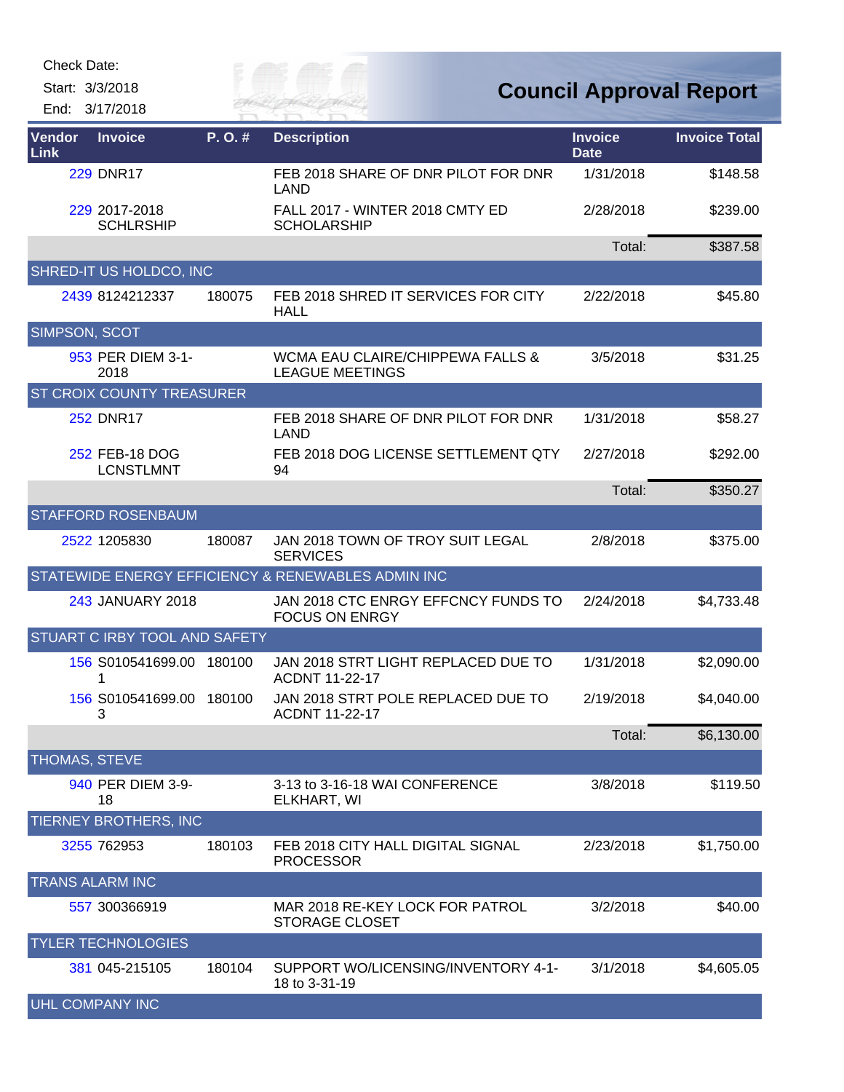Check Date:

Start: 3/3/2018

End: 3/17/2018

Eily of

| <b>Vendor</b><br>Link | <b>Invoice</b>                     | P.O.#  | <b>Description</b>                                           | <b>Invoice</b><br><b>Date</b> | <b>Invoice Total</b> |
|-----------------------|------------------------------------|--------|--------------------------------------------------------------|-------------------------------|----------------------|
|                       | <b>229 DNR17</b>                   |        | FEB 2018 SHARE OF DNR PILOT FOR DNR<br>LAND                  | 1/31/2018                     | \$148.58             |
|                       | 229 2017-2018<br><b>SCHLRSHIP</b>  |        | FALL 2017 - WINTER 2018 CMTY ED<br><b>SCHOLARSHIP</b>        | 2/28/2018                     | \$239.00             |
|                       |                                    |        |                                                              | Total:                        | \$387.58             |
|                       | SHRED-IT US HOLDCO, INC            |        |                                                              |                               |                      |
|                       | 2439 8124212337                    | 180075 | FEB 2018 SHRED IT SERVICES FOR CITY<br><b>HALL</b>           | 2/22/2018                     | \$45.80              |
| SIMPSON, SCOT         |                                    |        |                                                              |                               |                      |
|                       | 953 PER DIEM 3-1-<br>2018          |        | WCMA EAU CLAIRE/CHIPPEWA FALLS &<br><b>LEAGUE MEETINGS</b>   | 3/5/2018                      | \$31.25              |
|                       | <b>ST CROIX COUNTY TREASURER</b>   |        |                                                              |                               |                      |
|                       | <b>252 DNR17</b>                   |        | FEB 2018 SHARE OF DNR PILOT FOR DNR<br><b>LAND</b>           | 1/31/2018                     | \$58.27              |
|                       | 252 FEB-18 DOG<br><b>LCNSTLMNT</b> |        | FEB 2018 DOG LICENSE SETTLEMENT QTY<br>94                    | 2/27/2018                     | \$292.00             |
|                       |                                    |        |                                                              | Total:                        | \$350.27             |
|                       | <b>STAFFORD ROSENBAUM</b>          |        |                                                              |                               |                      |
|                       | 2522 1205830                       | 180087 | JAN 2018 TOWN OF TROY SUIT LEGAL<br><b>SERVICES</b>          | 2/8/2018                      | \$375.00             |
|                       |                                    |        | STATEWIDE ENERGY EFFICIENCY & RENEWABLES ADMIN INC           |                               |                      |
|                       | 243 JANUARY 2018                   |        | JAN 2018 CTC ENRGY EFFCNCY FUNDS TO<br><b>FOCUS ON ENRGY</b> | 2/24/2018                     | \$4,733.48           |
|                       | STUART C IRBY TOOL AND SAFETY      |        |                                                              |                               |                      |
|                       | 156 S010541699.00 180100<br>1      |        | JAN 2018 STRT LIGHT REPLACED DUE TO<br><b>ACDNT 11-22-17</b> | 1/31/2018                     | \$2,090.00           |
|                       | 156 S010541699.00 180100<br>3      |        | JAN 2018 STRT POLE REPLACED DUE TO<br><b>ACDNT 11-22-17</b>  | 2/19/2018                     | \$4,040.00           |
|                       |                                    |        |                                                              | Total:                        | \$6,130.00           |
| THOMAS, STEVE         |                                    |        |                                                              |                               |                      |
|                       | 940 PER DIEM 3-9-<br>18            |        | 3-13 to 3-16-18 WAI CONFERENCE<br>ELKHART, WI                | 3/8/2018                      | \$119.50             |
|                       | TIERNEY BROTHERS, INC              |        |                                                              |                               |                      |
|                       | 3255 762953                        | 180103 | FEB 2018 CITY HALL DIGITAL SIGNAL<br><b>PROCESSOR</b>        | 2/23/2018                     | \$1,750.00           |
|                       | <b>TRANS ALARM INC</b>             |        |                                                              |                               |                      |
|                       | 557 300366919                      |        | MAR 2018 RE-KEY LOCK FOR PATROL<br><b>STORAGE CLOSET</b>     | 3/2/2018                      | \$40.00              |
|                       | <b>YLER TECHNOLOGIES</b>           |        |                                                              |                               |                      |
|                       | 381 045-215105                     | 180104 | SUPPORT WO/LICENSING/INVENTORY 4-1-<br>18 to 3-31-19         | 3/1/2018                      | \$4,605.05           |
|                       | <b>UHL COMPANY INC</b>             |        |                                                              |                               |                      |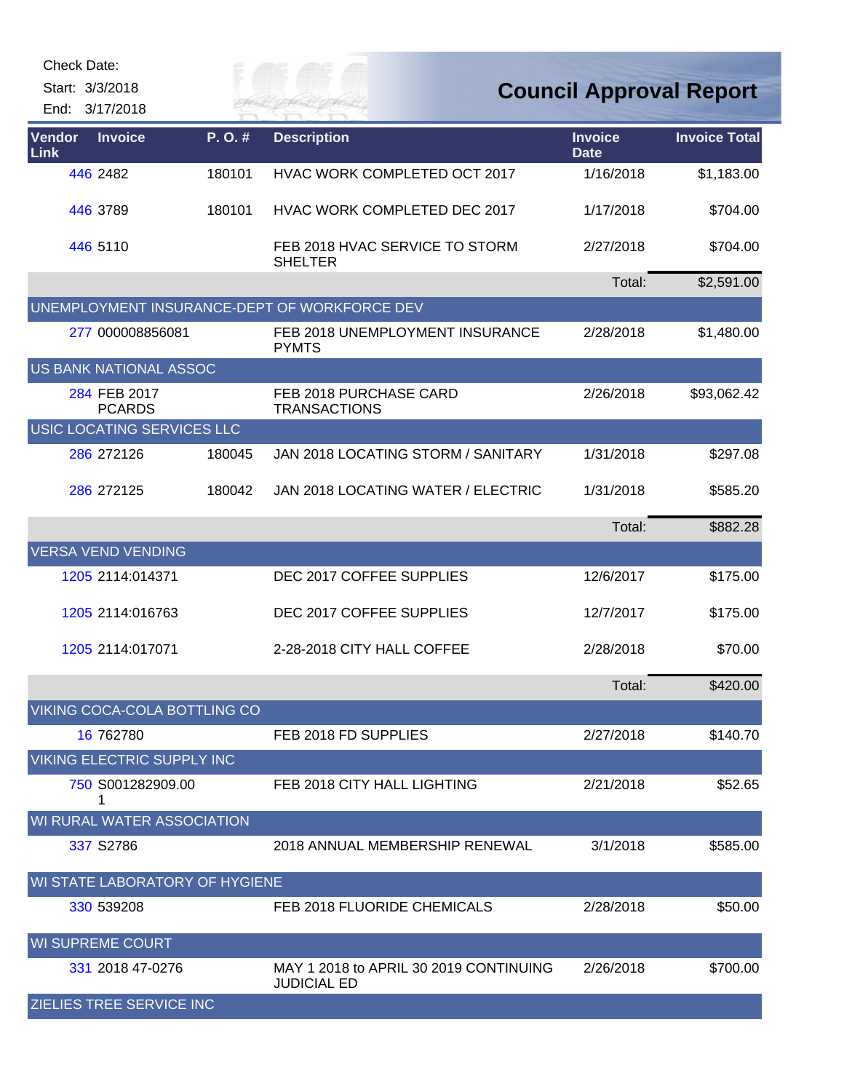|                | Check Date:                       |        |                                                              |                                |                      |
|----------------|-----------------------------------|--------|--------------------------------------------------------------|--------------------------------|----------------------|
|                | Start: 3/3/2018<br>End: 3/17/2018 |        | FR HAI                                                       | <b>Council Approval Report</b> |                      |
| Vendor<br>Link | <b>Invoice</b>                    | P.O.#  | <b>Description</b>                                           | <b>Invoice</b><br><b>Date</b>  | <b>Invoice Total</b> |
|                | 446 2482                          | 180101 | HVAC WORK COMPLETED OCT 2017                                 | 1/16/2018                      | \$1,183.00           |
|                | 446 3789                          | 180101 | HVAC WORK COMPLETED DEC 2017                                 | 1/17/2018                      | \$704.00             |
|                | 446 5110                          |        | FEB 2018 HVAC SERVICE TO STORM<br><b>SHELTER</b>             | 2/27/2018                      | \$704.00             |
|                |                                   |        |                                                              | Total:                         | \$2,591.00           |
|                |                                   |        | UNEMPLOYMENT INSURANCE-DEPT OF WORKFORCE DEV                 |                                |                      |
|                | 277 000008856081                  |        | FEB 2018 UNEMPLOYMENT INSURANCE<br><b>PYMTS</b>              | 2/28/2018                      | \$1,480.00           |
|                | US BANK NATIONAL ASSOC            |        |                                                              |                                |                      |
|                | 284 FEB 2017<br><b>PCARDS</b>     |        | FEB 2018 PURCHASE CARD<br><b>TRANSACTIONS</b>                | 2/26/2018                      | \$93,062.42          |
|                | USIC LOCATING SERVICES LLC        |        |                                                              |                                |                      |
|                | 286 272126                        | 180045 | JAN 2018 LOCATING STORM / SANITARY                           | 1/31/2018                      | \$297.08             |
|                | 286 272125                        | 180042 | JAN 2018 LOCATING WATER / ELECTRIC                           | 1/31/2018                      | \$585.20             |
|                |                                   |        |                                                              | Total:                         | \$882.28             |
|                | <b>VERSA VEND VENDING</b>         |        |                                                              |                                |                      |
|                | 1205 2114:014371                  |        | DEC 2017 COFFEE SUPPLIES                                     | 12/6/2017                      | \$175.00             |
|                | 1205 2114:016763                  |        | DEC 2017 COFFEE SUPPLIES                                     | 12/7/2017                      | \$175.00             |
|                | 1205 2114:017071                  |        | 2-28-2018 CITY HALL COFFEE                                   | 2/28/2018                      | \$70.00              |
|                |                                   |        |                                                              | Total:                         | \$420.00             |
|                | VIKING COCA-COLA BOTTLING CO      |        |                                                              |                                |                      |
|                | 16 762780                         |        | FEB 2018 FD SUPPLIES                                         | 2/27/2018                      | \$140.70             |
|                | <b>VIKING ELECTRIC SUPPLY INC</b> |        |                                                              |                                |                      |
|                | 750 S001282909.00<br>1            |        | FEB 2018 CITY HALL LIGHTING                                  | 2/21/2018                      | \$52.65              |
|                | WI RURAL WATER ASSOCIATION        |        |                                                              |                                |                      |
|                | 337 S2786                         |        | 2018 ANNUAL MEMBERSHIP RENEWAL                               | 3/1/2018                       | \$585.00             |
|                | WI STATE LABORATORY OF HYGIENE    |        |                                                              |                                |                      |
|                | 330 539208                        |        | FEB 2018 FLUORIDE CHEMICALS                                  | 2/28/2018                      | \$50.00              |
|                | <b>WI SUPREME COURT</b>           |        |                                                              |                                |                      |
|                | 331 2018 47-0276                  |        | MAY 1 2018 to APRIL 30 2019 CONTINUING<br><b>JUDICIAL ED</b> | 2/26/2018                      | \$700.00             |
|                | <b>ZIELIES TREE SERVICE INC</b>   |        |                                                              |                                |                      |